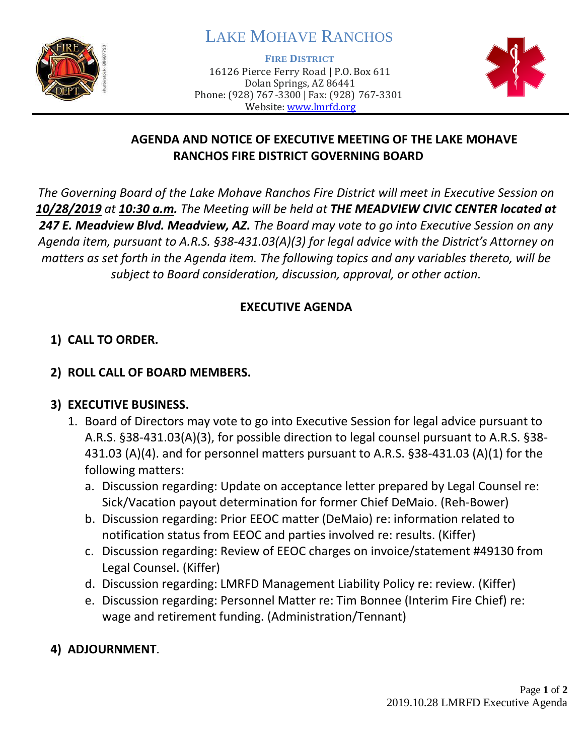

# LAKE MOHAVE RANCHOS

**FIRE DISTRICT**

16126 Pierce Ferry Road | P.O. Box 611 Dolan Springs, AZ 86441 Phone: (928) 767-3300 | Fax: (928) 767-3301 Website: [www.lmrfd.org](http://www.lmrfd.org/)



# **AGENDA AND NOTICE OF EXECUTIVE MEETING OF THE LAKE MOHAVE RANCHOS FIRE DISTRICT GOVERNING BOARD**

*The Governing Board of the Lake Mohave Ranchos Fire District will meet in Executive Session on 10/28/2019 at 10:30 a.m. The Meeting will be held at THE MEADVIEW CIVIC CENTER located at 247 E. Meadview Blvd. Meadview, AZ. The Board may vote to go into Executive Session on any Agenda item, pursuant to A.R.S. §38-431.03(A)(3) for legal advice with the District's Attorney on matters as set forth in the Agenda item. The following topics and any variables thereto, will be subject to Board consideration, discussion, approval, or other action.* 

# **EXECUTIVE AGENDA**

# **1) CALL TO ORDER.**

## **2) ROLL CALL OF BOARD MEMBERS.**

# **3) EXECUTIVE BUSINESS.**

- 1. Board of Directors may vote to go into Executive Session for legal advice pursuant to A.R.S. §38-431.03(A)(3), for possible direction to legal counsel pursuant to A.R.S. §38- 431.03 (A)(4). and for personnel matters pursuant to A.R.S. §38-431.03 (A)(1) for the following matters:
	- a. Discussion regarding: Update on acceptance letter prepared by Legal Counsel re: Sick/Vacation payout determination for former Chief DeMaio. (Reh-Bower)
	- b. Discussion regarding: Prior EEOC matter (DeMaio) re: information related to notification status from EEOC and parties involved re: results. (Kiffer)
	- c. Discussion regarding: Review of EEOC charges on invoice/statement #49130 from Legal Counsel. (Kiffer)
	- d. Discussion regarding: LMRFD Management Liability Policy re: review. (Kiffer)
	- e. Discussion regarding: Personnel Matter re: Tim Bonnee (Interim Fire Chief) re: wage and retirement funding. (Administration/Tennant)
- **4) ADJOURNMENT**.